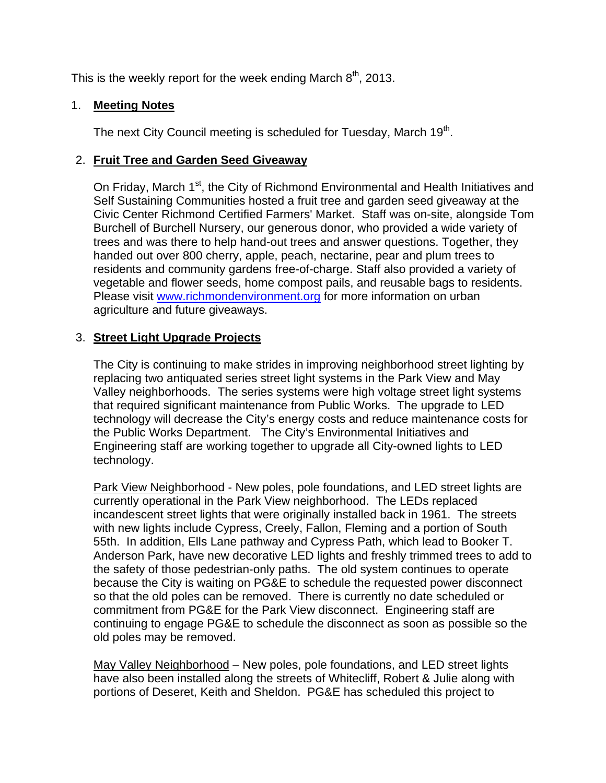This is the weekly report for the week ending March  $8<sup>th</sup>$ , 2013.

#### 1. **Meeting Notes**

The next City Council meeting is scheduled for Tuesday, March 19<sup>th</sup>.

#### 2. **Fruit Tree and Garden Seed Giveaway**

On Friday, March 1<sup>st</sup>, the City of Richmond Environmental and Health Initiatives and Self Sustaining Communities hosted a fruit tree and garden seed giveaway at the Civic Center Richmond Certified Farmers' Market. Staff was on-site, alongside Tom Burchell of Burchell Nursery, our generous donor, who provided a wide variety of trees and was there to help hand-out trees and answer questions. Together, they handed out over 800 cherry, apple, peach, nectarine, pear and plum trees to residents and community gardens free-of-charge. Staff also provided a variety of vegetable and flower seeds, home compost pails, and reusable bags to residents. Please visit www.richmondenvironment.org for more information on urban agriculture and future giveaways.

# 3. **Street Light Upgrade Projects**

The City is continuing to make strides in improving neighborhood street lighting by replacing two antiquated series street light systems in the Park View and May Valley neighborhoods. The series systems were high voltage street light systems that required significant maintenance from Public Works. The upgrade to LED technology will decrease the City's energy costs and reduce maintenance costs for the Public Works Department. The City's Environmental Initiatives and Engineering staff are working together to upgrade all City-owned lights to LED technology.

Park View Neighborhood - New poles, pole foundations, and LED street lights are currently operational in the Park View neighborhood. The LEDs replaced incandescent street lights that were originally installed back in 1961. The streets with new lights include Cypress, Creely, Fallon, Fleming and a portion of South 55th. In addition, Ells Lane pathway and Cypress Path, which lead to Booker T. Anderson Park, have new decorative LED lights and freshly trimmed trees to add to the safety of those pedestrian-only paths. The old system continues to operate because the City is waiting on PG&E to schedule the requested power disconnect so that the old poles can be removed. There is currently no date scheduled or commitment from PG&E for the Park View disconnect. Engineering staff are continuing to engage PG&E to schedule the disconnect as soon as possible so the old poles may be removed.

May Valley Neighborhood – New poles, pole foundations, and LED street lights have also been installed along the streets of Whitecliff, Robert & Julie along with portions of Deseret, Keith and Sheldon. PG&E has scheduled this project to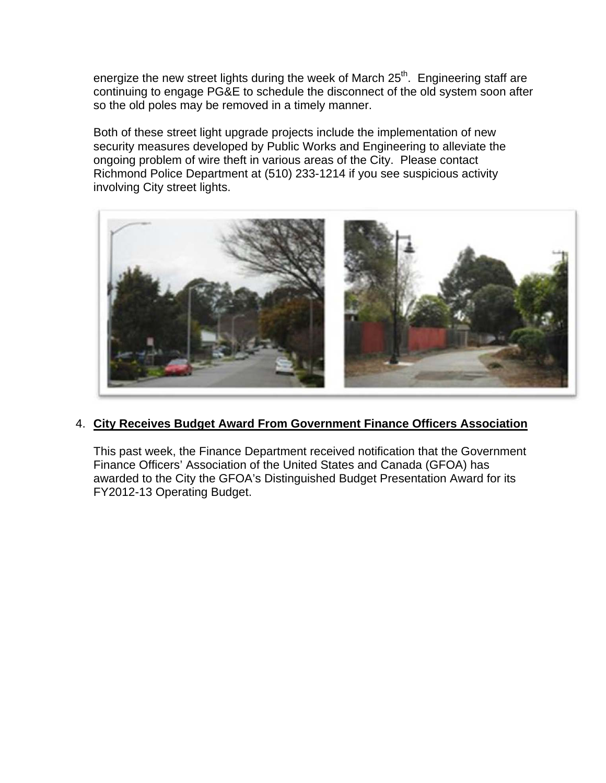energize the new street lights during the week of March 25<sup>th</sup>. Engineering staff are continuing to engage PG&E to schedule the disconnect of the old system soon after so the old poles may be removed in a timely manner.

Both of these street light upgrade projects include the implementation of new security measures developed by Public Works and Engineering to alleviate the ongoing problem of wire theft in various areas of the City. Please contact Richmond Police Department at (510) 233-1214 if you see suspicious activity involving City street lights.



# 4. **City Receives Budget Award From Government Finance Officers Association**

This past week, the Finance Department received notification that the Government Finance Officers' Association of the United States and Canada (GFOA) has awarded to the City the GFOA's Distinguished Budget Presentation Award for its FY2012-13 Operating Budget.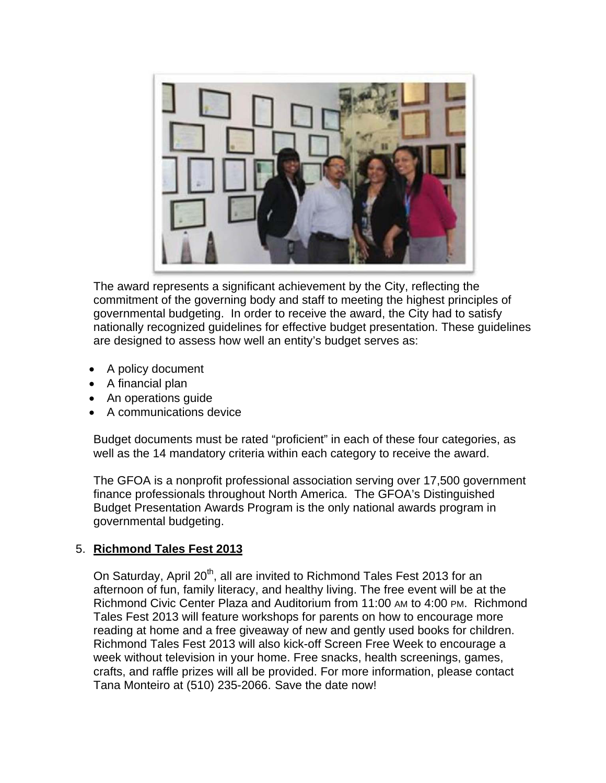

The award represents a significant achievement by the City, reflecting the commitment of the governing body and staff to meeting the highest principles of governmental budgeting. In order to receive the award, the City had to satisfy nationally recognized guidelines for effective budget presentation. These guidelines are designed to assess how well an entity's budget serves as:

- A policy document
- A financial plan
- An operations quide
- A communications device

Budget documents must be rated "proficient" in each of these four categories, as well as the 14 mandatory criteria within each category to receive the award.

The GFOA is a nonprofit professional association serving over 17,500 government finance professionals throughout North America. The GFOA's Distinguished Budget Presentation Awards Program is the only national awards program in governmental budgeting.

# 5. **Richmond Tales Fest 2013**

On Saturday, April 20<sup>th</sup>, all are invited to Richmond Tales Fest 2013 for an afternoon of fun, family literacy, and healthy living. The free event will be at the Richmond Civic Center Plaza and Auditorium from 11:00 AM to 4:00 PM. Richmond Tales Fest 2013 will feature workshops for parents on how to encourage more reading at home and a free giveaway of new and gently used books for children. Richmond Tales Fest 2013 will also kick-off Screen Free Week to encourage a week without television in your home. Free snacks, health screenings, games, crafts, and raffle prizes will all be provided. For more information, please contact Tana Monteiro at (510) 235-2066. Save the date now!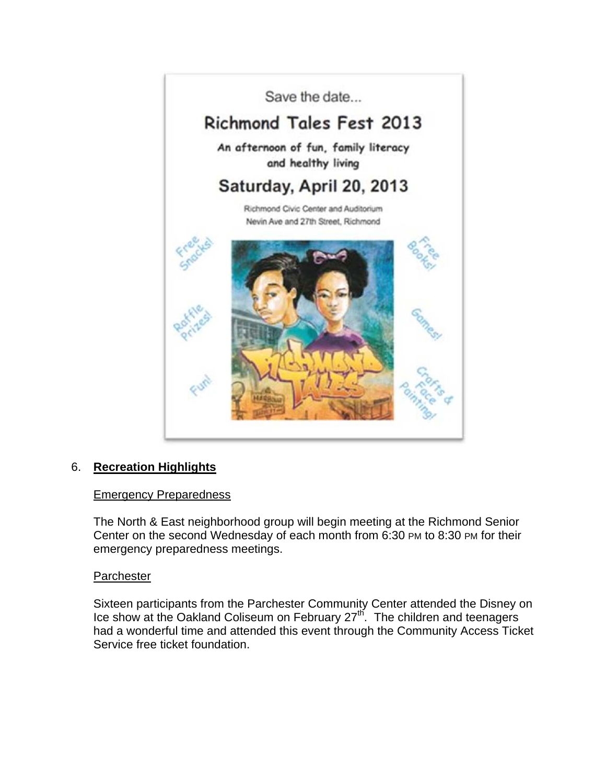

# 6. **Recreation Highlights**

#### Emergency Preparedness

The North & East neighborhood group will begin meeting at the Richmond Senior Center on the second Wednesday of each month from 6:30 PM to 8:30 PM for their emergency preparedness meetings.

#### **Parchester**

Sixteen participants from the Parchester Community Center attended the Disney on Ice show at the Oakland Coliseum on February 27th. The children and teenagers had a wonderful time and attended this event through the Community Access Ticket Service free ticket foundation.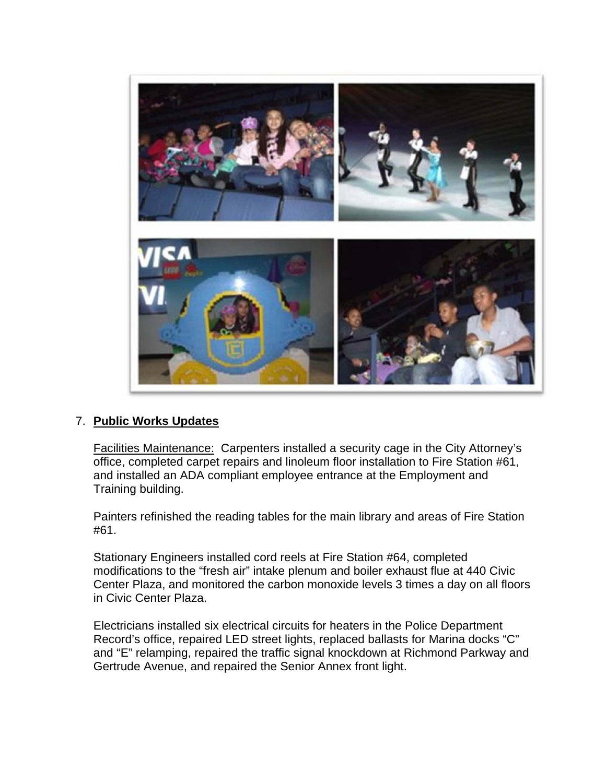

# 7. **Public Works Updates**

Facilities Maintenance: Carpenters installed a security cage in the City Attorney's office, completed carpet repairs and linoleum floor installation to Fire Station #61, and installed an ADA compliant employee entrance at the Employment and Training building.

Painters refinished the reading tables for the main library and areas of Fire Station #61.

Stationary Engineers installed cord reels at Fire Station #64, completed modifications to the "fresh air" intake plenum and boiler exhaust flue at 440 Civic Center Plaza, and monitored the carbon monoxide levels 3 times a day on all floors in Civic Center Plaza.

Electricians installed six electrical circuits for heaters in the Police Department Record's office, repaired LED street lights, replaced ballasts for Marina docks "C" and "E" relamping, repaired the traffic signal knockdown at Richmond Parkway and Gertrude Avenue, and repaired the Senior Annex front light.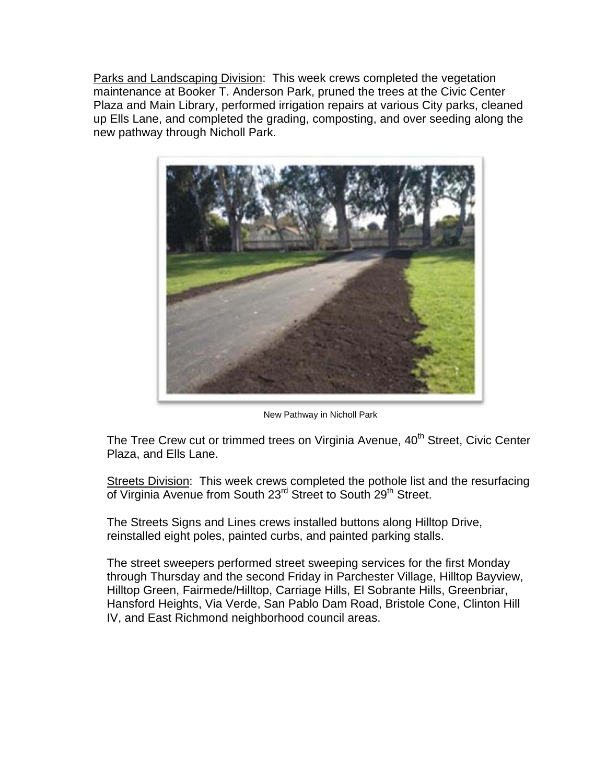Parks and Landscaping Division: This week crews completed the vegetation maintenance at Booker T. Anderson Park, pruned the trees at the Civic Center Plaza and Main Library, performed irrigation repairs at various City parks, cleaned up Ells Lane, and completed the grading, composting, and over seeding along the new pathway through Nicholl Park.



New Pathway in Nicholl Park

The Tree Crew cut or trimmed trees on Virginia Avenue, 40<sup>th</sup> Street, Civic Center Plaza, and Ells Lane.

Streets Division: This week crews completed the pothole list and the resurfacing of Virginia Avenue from South 23<sup>rd</sup> Street to South 29<sup>th</sup> Street.

The Streets Signs and Lines crews installed buttons along Hilltop Drive, reinstalled eight poles, painted curbs, and painted parking stalls.

The street sweepers performed street sweeping services for the first Monday through Thursday and the second Friday in Parchester Village, Hilltop Bayview, Hilltop Green, Fairmede/Hilltop, Carriage Hills, El Sobrante Hills, Greenbriar, Hansford Heights, Via Verde, San Pablo Dam Road, Bristole Cone, Clinton Hill IV, and East Richmond neighborhood council areas.